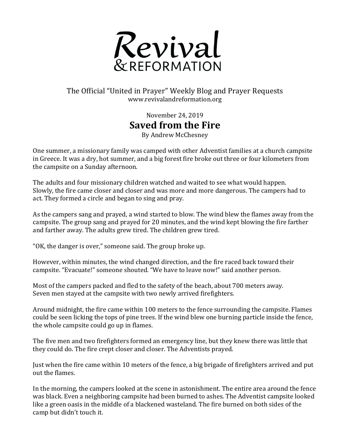

## The Official "United in Prayer" Weekly Blog and Prayer Requests www.revivalandreformation.org

November 24, 2019 **Saved from the Fire** 

By Andrew McChesney

One summer, a missionary family was camped with other Adventist families at a church campsite in Greece. It was a dry, hot summer, and a big forest fire broke out three or four kilometers from the campsite on a Sunday afternoon.

The adults and four missionary children watched and waited to see what would happen. Slowly, the fire came closer and closer and was more and more dangerous. The campers had to act. They formed a circle and began to sing and pray.

As the campers sang and prayed, a wind started to blow. The wind blew the flames away from the campsite. The group sang and prayed for 20 minutes, and the wind kept blowing the fire farther and farther away. The adults grew tired. The children grew tired.

"OK, the danger is over," someone said. The group broke up.

However, within minutes, the wind changed direction, and the fire raced back toward their campsite. "Evacuate!" someone shouted. "We have to leave now!" said another person.

Most of the campers packed and fled to the safety of the beach, about 700 meters away. Seven men stayed at the campsite with two newly arrived firefighters.

Around midnight, the fire came within 100 meters to the fence surrounding the campsite. Flames could be seen licking the tops of pine trees. If the wind blew one burning particle inside the fence, the whole campsite could go up in flames.

The five men and two firefighters formed an emergency line, but they knew there was little that they could do. The fire crept closer and closer. The Adventists prayed.

Just when the fire came within 10 meters of the fence, a big brigade of firefighters arrived and put out the flames.

In the morning, the campers looked at the scene in astonishment. The entire area around the fence was black. Even a neighboring campsite had been burned to ashes. The Adventist campsite looked like a green oasis in the middle of a blackened wasteland. The fire burned on both sides of the camp but didn't touch it.